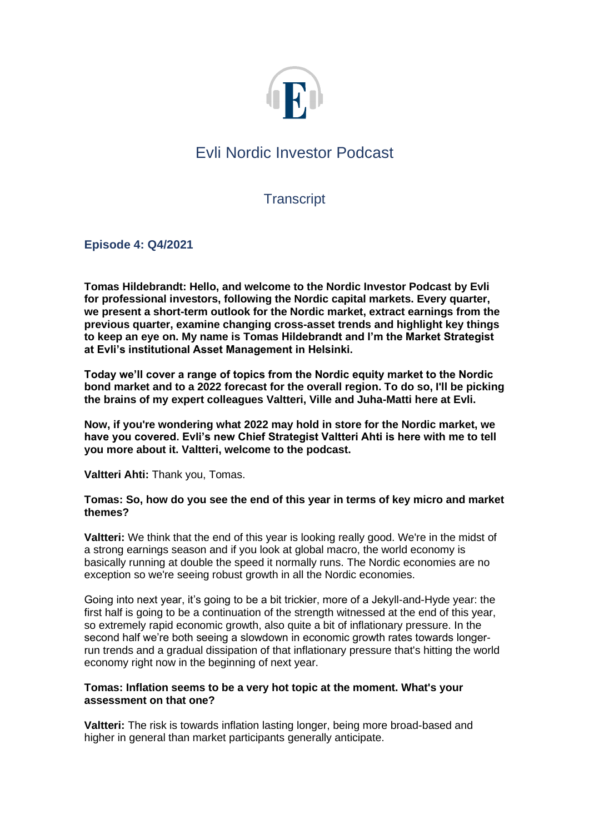

# Evli Nordic Investor Podcast

**Transcript** 

**Episode 4: Q4/2021**

**Tomas Hildebrandt: Hello, and welcome to the Nordic Investor Podcast by Evli for professional investors, following the Nordic capital markets. Every quarter, we present a short-term outlook for the Nordic market, extract earnings from the previous quarter, examine changing cross-asset trends and highlight key things to keep an eye on. My name is Tomas Hildebrandt and I'm the Market Strategist at Evli's institutional Asset Management in Helsinki.**

**Today we'll cover a range of topics from the Nordic equity market to the Nordic bond market and to a 2022 forecast for the overall region. To do so, I'll be picking the brains of my expert colleagues Valtteri, Ville and Juha-Matti here at Evli.**

**Now, if you're wondering what 2022 may hold in store for the Nordic market, we have you covered. Evli's new Chief Strategist Valtteri Ahti is here with me to tell you more about it. Valtteri, welcome to the podcast.**

**Valtteri Ahti:** Thank you, Tomas.

## **Tomas: So, how do you see the end of this year in terms of key micro and market themes?**

**Valtteri:** We think that the end of this year is looking really good. We're in the midst of a strong earnings season and if you look at global macro, the world economy is basically running at double the speed it normally runs. The Nordic economies are no exception so we're seeing robust growth in all the Nordic economies.

Going into next year, it's going to be a bit trickier, more of a Jekyll-and-Hyde year: the first half is going to be a continuation of the strength witnessed at the end of this year, so extremely rapid economic growth, also quite a bit of inflationary pressure. In the second half we're both seeing a slowdown in economic growth rates towards longerrun trends and a gradual dissipation of that inflationary pressure that's hitting the world economy right now in the beginning of next year.

## **Tomas: Inflation seems to be a very hot topic at the moment. What's your assessment on that one?**

**Valtteri:** The risk is towards inflation lasting longer, being more broad-based and higher in general than market participants generally anticipate.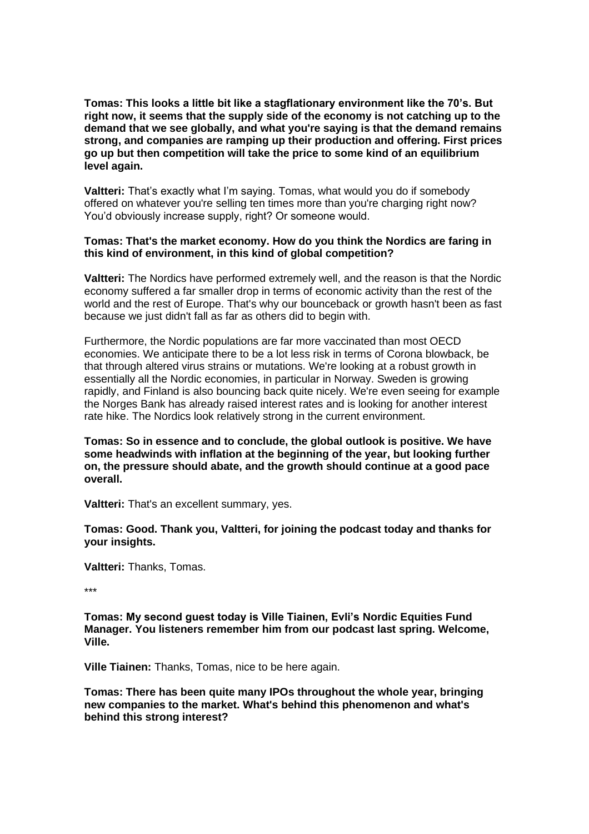**Tomas: This looks a little bit like a stagflationary environment like the 70's. But right now, it seems that the supply side of the economy is not catching up to the demand that we see globally, and what you're saying is that the demand remains strong, and companies are ramping up their production and offering. First prices go up but then competition will take the price to some kind of an equilibrium level again.**

**Valtteri:** That's exactly what I'm saying. Tomas, what would you do if somebody offered on whatever you're selling ten times more than you're charging right now? You'd obviously increase supply, right? Or someone would.

## **Tomas: That's the market economy. How do you think the Nordics are faring in this kind of environment, in this kind of global competition?**

**Valtteri:** The Nordics have performed extremely well, and the reason is that the Nordic economy suffered a far smaller drop in terms of economic activity than the rest of the world and the rest of Europe. That's why our bounceback or growth hasn't been as fast because we just didn't fall as far as others did to begin with.

Furthermore, the Nordic populations are far more vaccinated than most OECD economies. We anticipate there to be a lot less risk in terms of Corona blowback, be that through altered virus strains or mutations. We're looking at a robust growth in essentially all the Nordic economies, in particular in Norway. Sweden is growing rapidly, and Finland is also bouncing back quite nicely. We're even seeing for example the Norges Bank has already raised interest rates and is looking for another interest rate hike. The Nordics look relatively strong in the current environment.

**Tomas: So in essence and to conclude, the global outlook is positive. We have some headwinds with inflation at the beginning of the year, but looking further on, the pressure should abate, and the growth should continue at a good pace overall.**

**Valtteri:** That's an excellent summary, yes.

**Tomas: Good. Thank you, Valtteri, for joining the podcast today and thanks for your insights.**

**Valtteri:** Thanks, Tomas.

\*\*\*

**Tomas: My second guest today is Ville Tiainen, Evli's Nordic Equities Fund Manager. You listeners remember him from our podcast last spring. Welcome, Ville.**

**Ville Tiainen:** Thanks, Tomas, nice to be here again.

**Tomas: There has been quite many IPOs throughout the whole year, bringing new companies to the market. What's behind this phenomenon and what's behind this strong interest?**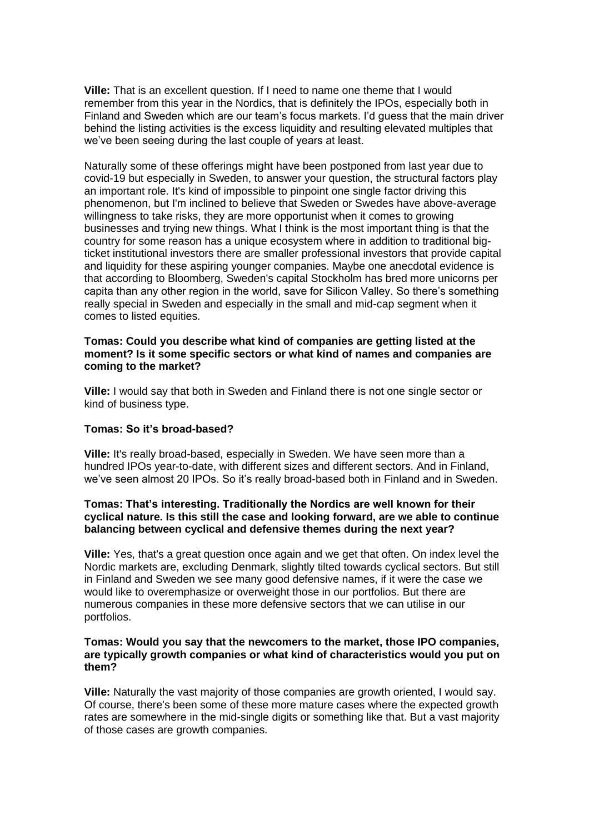**Ville:** That is an excellent question. If I need to name one theme that I would remember from this year in the Nordics, that is definitely the IPOs, especially both in Finland and Sweden which are our team's focus markets. I'd guess that the main driver behind the listing activities is the excess liquidity and resulting elevated multiples that we've been seeing during the last couple of years at least.

Naturally some of these offerings might have been postponed from last year due to covid-19 but especially in Sweden, to answer your question, the structural factors play an important role. It's kind of impossible to pinpoint one single factor driving this phenomenon, but I'm inclined to believe that Sweden or Swedes have above-average willingness to take risks, they are more opportunist when it comes to growing businesses and trying new things. What I think is the most important thing is that the country for some reason has a unique ecosystem where in addition to traditional bigticket institutional investors there are smaller professional investors that provide capital and liquidity for these aspiring younger companies. Maybe one anecdotal evidence is that according to Bloomberg, Sweden's capital Stockholm has bred more unicorns per capita than any other region in the world, save for Silicon Valley. So there's something really special in Sweden and especially in the small and mid-cap segment when it comes to listed equities.

#### **Tomas: Could you describe what kind of companies are getting listed at the moment? Is it some specific sectors or what kind of names and companies are coming to the market?**

**Ville:** I would say that both in Sweden and Finland there is not one single sector or kind of business type.

# **Tomas: So it's broad-based?**

**Ville:** It's really broad-based, especially in Sweden. We have seen more than a hundred IPOs year-to-date, with different sizes and different sectors. And in Finland, we've seen almost 20 IPOs. So it's really broad-based both in Finland and in Sweden.

## **Tomas: That's interesting. Traditionally the Nordics are well known for their cyclical nature. Is this still the case and looking forward, are we able to continue balancing between cyclical and defensive themes during the next year?**

**Ville:** Yes, that's a great question once again and we get that often. On index level the Nordic markets are, excluding Denmark, slightly tilted towards cyclical sectors. But still in Finland and Sweden we see many good defensive names, if it were the case we would like to overemphasize or overweight those in our portfolios. But there are numerous companies in these more defensive sectors that we can utilise in our portfolios.

#### **Tomas: Would you say that the newcomers to the market, those IPO companies, are typically growth companies or what kind of characteristics would you put on them?**

**Ville:** Naturally the vast majority of those companies are growth oriented, I would say. Of course, there's been some of these more mature cases where the expected growth rates are somewhere in the mid-single digits or something like that. But a vast majority of those cases are growth companies.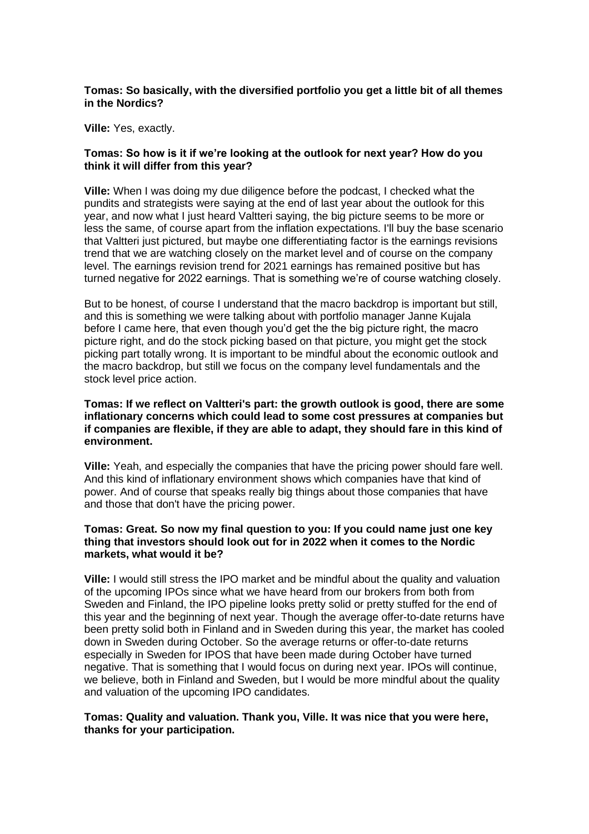## **Tomas: So basically, with the diversified portfolio you get a little bit of all themes in the Nordics?**

**Ville:** Yes, exactly.

## **Tomas: So how is it if we're looking at the outlook for next year? How do you think it will differ from this year?**

**Ville:** When I was doing my due diligence before the podcast, I checked what the pundits and strategists were saying at the end of last year about the outlook for this year, and now what I just heard Valtteri saying, the big picture seems to be more or less the same, of course apart from the inflation expectations. I'll buy the base scenario that Valtteri just pictured, but maybe one differentiating factor is the earnings revisions trend that we are watching closely on the market level and of course on the company level. The earnings revision trend for 2021 earnings has remained positive but has turned negative for 2022 earnings. That is something we're of course watching closely.

But to be honest, of course I understand that the macro backdrop is important but still, and this is something we were talking about with portfolio manager Janne Kujala before I came here, that even though you'd get the the big picture right, the macro picture right, and do the stock picking based on that picture, you might get the stock picking part totally wrong. It is important to be mindful about the economic outlook and the macro backdrop, but still we focus on the company level fundamentals and the stock level price action.

## **Tomas: If we reflect on Valtteri's part: the growth outlook is good, there are some inflationary concerns which could lead to some cost pressures at companies but if companies are flexible, if they are able to adapt, they should fare in this kind of environment.**

**Ville:** Yeah, and especially the companies that have the pricing power should fare well. And this kind of inflationary environment shows which companies have that kind of power. And of course that speaks really big things about those companies that have and those that don't have the pricing power.

#### **Tomas: Great. So now my final question to you: If you could name just one key thing that investors should look out for in 2022 when it comes to the Nordic markets, what would it be?**

**Ville:** I would still stress the IPO market and be mindful about the quality and valuation of the upcoming IPOs since what we have heard from our brokers from both from Sweden and Finland, the IPO pipeline looks pretty solid or pretty stuffed for the end of this year and the beginning of next year. Though the average offer-to-date returns have been pretty solid both in Finland and in Sweden during this year, the market has cooled down in Sweden during October. So the average returns or offer-to-date returns especially in Sweden for IPOS that have been made during October have turned negative. That is something that I would focus on during next year. IPOs will continue, we believe, both in Finland and Sweden, but I would be more mindful about the quality and valuation of the upcoming IPO candidates.

## **Tomas: Quality and valuation. Thank you, Ville. It was nice that you were here, thanks for your participation.**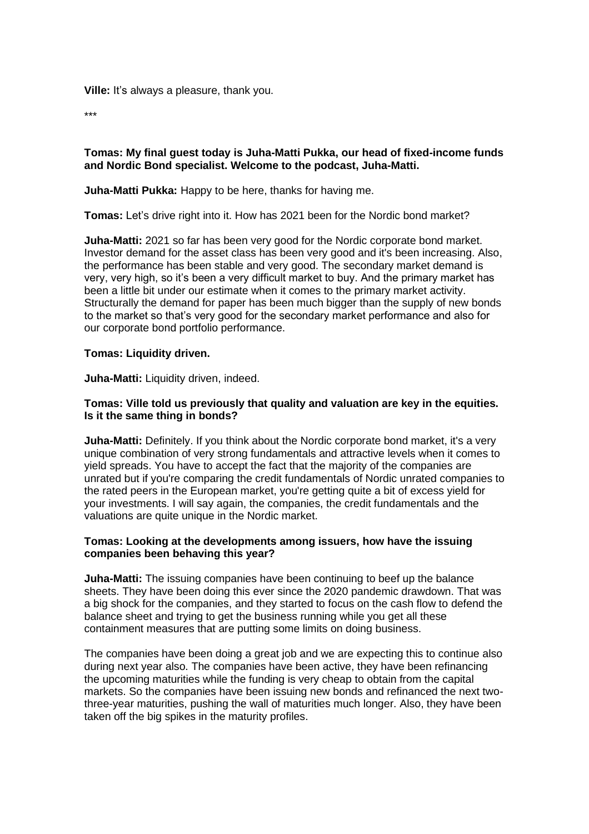**Ville:** It's always a pleasure, thank you.

\*\*\*

## **Tomas: My final guest today is Juha-Matti Pukka, our head of fixed-income funds and Nordic Bond specialist. Welcome to the podcast, Juha-Matti.**

**Juha-Matti Pukka:** Happy to be here, thanks for having me.

**Tomas:** Let's drive right into it. How has 2021 been for the Nordic bond market?

**Juha-Matti:** 2021 so far has been very good for the Nordic corporate bond market. Investor demand for the asset class has been very good and it's been increasing. Also, the performance has been stable and very good. The secondary market demand is very, very high, so it's been a very difficult market to buy. And the primary market has been a little bit under our estimate when it comes to the primary market activity. Structurally the demand for paper has been much bigger than the supply of new bonds to the market so that's very good for the secondary market performance and also for our corporate bond portfolio performance.

## **Tomas: Liquidity driven.**

**Juha-Matti:** Liquidity driven, indeed.

# **Tomas: Ville told us previously that quality and valuation are key in the equities. Is it the same thing in bonds?**

**Juha-Matti:** Definitely. If you think about the Nordic corporate bond market, it's a very unique combination of very strong fundamentals and attractive levels when it comes to yield spreads. You have to accept the fact that the majority of the companies are unrated but if you're comparing the credit fundamentals of Nordic unrated companies to the rated peers in the European market, you're getting quite a bit of excess yield for your investments. I will say again, the companies, the credit fundamentals and the valuations are quite unique in the Nordic market.

# **Tomas: Looking at the developments among issuers, how have the issuing companies been behaving this year?**

**Juha-Matti:** The issuing companies have been continuing to beef up the balance sheets. They have been doing this ever since the 2020 pandemic drawdown. That was a big shock for the companies, and they started to focus on the cash flow to defend the balance sheet and trying to get the business running while you get all these containment measures that are putting some limits on doing business.

The companies have been doing a great job and we are expecting this to continue also during next year also. The companies have been active, they have been refinancing the upcoming maturities while the funding is very cheap to obtain from the capital markets. So the companies have been issuing new bonds and refinanced the next twothree-year maturities, pushing the wall of maturities much longer. Also, they have been taken off the big spikes in the maturity profiles.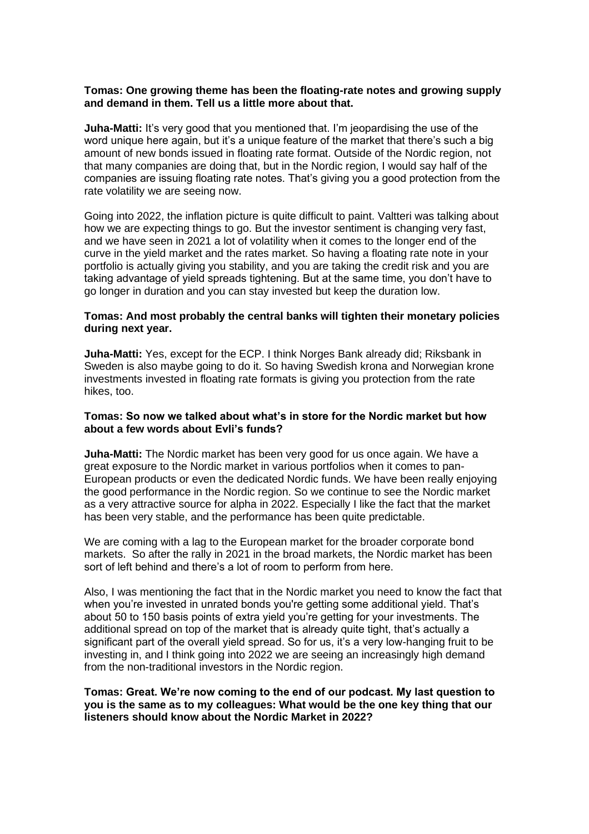## **Tomas: One growing theme has been the floating-rate notes and growing supply and demand in them. Tell us a little more about that.**

**Juha-Matti:** It's very good that you mentioned that. I'm jeopardising the use of the word unique here again, but it's a unique feature of the market that there's such a big amount of new bonds issued in floating rate format. Outside of the Nordic region, not that many companies are doing that, but in the Nordic region, I would say half of the companies are issuing floating rate notes. That's giving you a good protection from the rate volatility we are seeing now.

Going into 2022, the inflation picture is quite difficult to paint. Valtteri was talking about how we are expecting things to go. But the investor sentiment is changing very fast, and we have seen in 2021 a lot of volatility when it comes to the longer end of the curve in the yield market and the rates market. So having a floating rate note in your portfolio is actually giving you stability, and you are taking the credit risk and you are taking advantage of yield spreads tightening. But at the same time, you don't have to go longer in duration and you can stay invested but keep the duration low.

## **Tomas: And most probably the central banks will tighten their monetary policies during next year.**

**Juha-Matti:** Yes, except for the ECP. I think Norges Bank already did; Riksbank in Sweden is also maybe going to do it. So having Swedish krona and Norwegian krone investments invested in floating rate formats is giving you protection from the rate hikes, too.

## **Tomas: So now we talked about what's in store for the Nordic market but how about a few words about Evli's funds?**

**Juha-Matti:** The Nordic market has been very good for us once again. We have a great exposure to the Nordic market in various portfolios when it comes to pan-European products or even the dedicated Nordic funds. We have been really enjoying the good performance in the Nordic region. So we continue to see the Nordic market as a very attractive source for alpha in 2022. Especially I like the fact that the market has been very stable, and the performance has been quite predictable.

We are coming with a lag to the European market for the broader corporate bond markets. So after the rally in 2021 in the broad markets, the Nordic market has been sort of left behind and there's a lot of room to perform from here.

Also, I was mentioning the fact that in the Nordic market you need to know the fact that when you're invested in unrated bonds you're getting some additional yield. That's about 50 to 150 basis points of extra yield you're getting for your investments. The additional spread on top of the market that is already quite tight, that's actually a significant part of the overall yield spread. So for us, it's a very low-hanging fruit to be investing in, and I think going into 2022 we are seeing an increasingly high demand from the non-traditional investors in the Nordic region.

**Tomas: Great. We're now coming to the end of our podcast. My last question to you is the same as to my colleagues: What would be the one key thing that our listeners should know about the Nordic Market in 2022?**